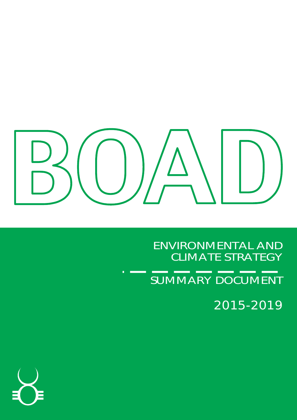

ENVIRONMENTAL AND CLIMATE STRATEGY

SUMMARY DOCUMENT

2015-2019

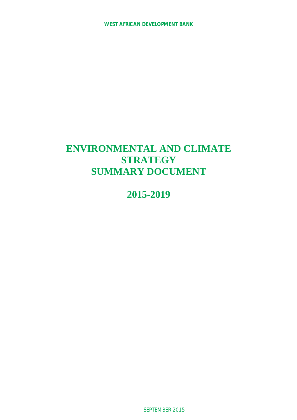# **ENVIRONMENTAL AND CLIMATE STRATEGY SUMMARY DOCUMENT**

**2015-2019**

SEPTEMBER 2015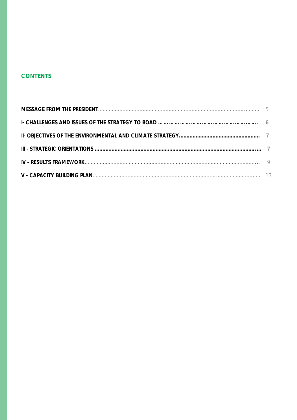# **CONTENTS**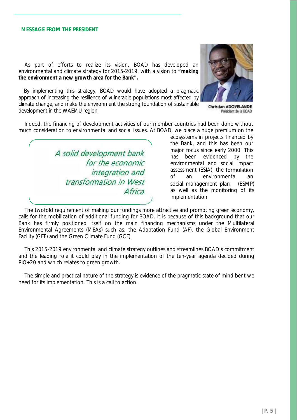#### **MESSAGE FROM THE PRESIDENT**

As part of efforts to realize its vision, BOAD has developed an environmental and climate strategy for 2015-2019, with a vision to *"making the environment a new growth area for the Bank".*

By implementing this strategy, BOAD would have adopted a pragmatic approach of increasing the resilience of vulnerable populations most affected by climate change, and make the environment the strong foundation of sustainable **Christian ADOVELANDE** development in the WAEMU region



Président de la EOAD

Indeed, the financing of development activities of our member countries had been done without much consideration to environmental and social issues. At BOAD, we place a huge premium on the

*A solid development bank for the economic integration and transformation in West Africa*

ecosystems in projects financed by the Bank, and this has been our major focus since early 2000. This has been evidenced by the environmental and social impact assessment (ESIA), the formulation of an environmental an social management plan (ESMP) as well as the monitoring of its implementation.

The twofold requirement of making our fundings more attractive and promoting green economy, calls for the mobilization of additional funding for BOAD. It is because of this background that our Bank has firmly positioned itself on the main financing mechanisms under the Multilateral Environmental Agreements (MEAs) such as: the Adaptation Fund (AF), the Global Environment Facility (GEF) and the Green Climate Fund (GCF).

This 2015-2019 environmental and climate strategy outlines and streamlines BOAD's commitment and the leading role it could play in the implementation of the ten-year agenda decided during RIO+20 and which relates to green growth.

The simple and practical nature of the strategy is evidence of the pragmatic state of mind bent we need for its implementation. This is a call to action.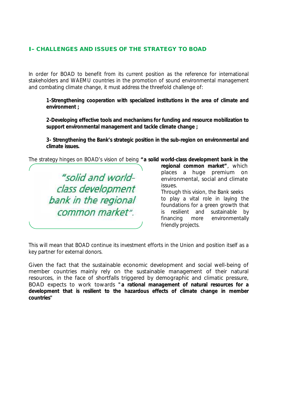### **I- CHALLENGES AND ISSUES OF THE STRATEGY TO BOAD**

In order for BOAD to benefit from its current position as the reference for international stakeholders and WAEMU countries in the promotion of sound environmental management and combating climate change, it must address the threefold challenge of:

**1-Strengthening cooperation with specialized institutions in the area of climate and environment ;**

**2-Developing effective tools and mechanisms for funding and resource mobilization to support environmental management and tackle climate change ;**

**3- Strengthening the Bank's strategic position in the sub-region on environmental and climate issues.**

The strategy hinges on BOAD's vision of being *"a solid world-class development bank in the*



*regional common market"*, which places a huge premium on environmental, social and climate issues.

Through this vision, the Bank seeks to play a vital role in laying the foundations for a green growth that is resilient and sustainable by financing more environmentally friendly projects.

This will mean that BOAD continue its investment efforts in the Union and position itself as a key partner for external donors.

Given the fact that the sustainable economic development and social well-being of member countries mainly rely on the sustainable management of their natural resources, in the face of shortfalls triggered by demographic and climatic pressure, BOAD expects to work towards *"a rational management of natural resources for a development that is resilient to the hazardous effects of climate change in member countries"*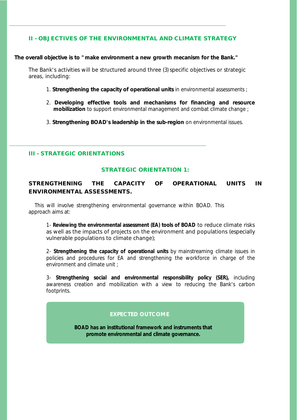### **II - OBJECTIVES OF THE ENVIRONMENTAL AND CLIMATE STRATEGY**

**The overall objective is to "make environment a new growth mecanism for the Bank."**

The Bank's activities will be structured around three (3) specific objectives or strategic areas, including:

- 1. **Strengthening the capacity of operational units** in environmental assessments ;
- 2. **Developing effective tools and mechanisms for financing and resource mobilization** to support environmental management and combat climate change ;
- 3. **Strengthening BOAD's leadership in the sub-region** on environmental issues.

**III - STRATEGIC ORIENTATIONS**

#### **STRATEGIC ORIENTATION 1:**

**STRENGTHENING THE CAPACITY OF OPERATIONAL UNITS IN ENVIRONMENTAL ASSESSMENTS.**

This will involve strengthening environmental governance within BOAD. This approach aims at:

1- **Reviewing the environmental assessment (EA) tools of BOAD** to reduce climate risks as well as the impacts of projects on the environment and populations (especially vulnerable populations to climate change);

2- **Strengthening the capacity of operational units** by mainstreaming climate issues in policies and procedures for EA and strengthening the workforce in charge of the environment and climate unit ;

3- **Strengthening social and environmental responsibility policy (SER),** including awareness creation and mobilization with a view to reducing the Bank's carbon footprints.

### **EXPECTED OUTCOME**

**BOAD has an institutional framework and instruments that promote environmental and climate governance.**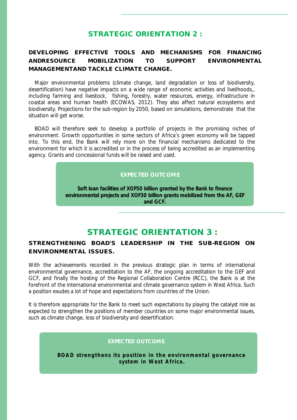# **STRATEGIC ORIENTATION 2 :**

**DEVELOPING EFFECTIVE TOOLS AND MECHANISMS FOR FINANCING ANDRESOURCE MOBILIZATION TO SUPPORT ENVIRONMENTAL MANAGEMENTAND TACKLE CLIMATE CHANGE.**

Major environmental problems (climate change, land degradation or loss of biodiversity, desertification) have negative impacts on a wide range of economic activities and livelihoods,, including farming and livestock, fishing, forestry, water resources, energy, infrastructure in coastal areas and human health (ECOWAS, 2012). They also affect natural ecosystems and biodiversity. Projections for the sub-region by 2050, based on simulations, demonstrate that the situation will get worse.

BOAD will therefore seek to develop a portfolio of projects in the promising niches of environment. Growth opportunities in some sectors of Africa's green economy will be tapped into. To this end, the Bank will rely more on the financial mechanisms dedicated to the environment for which it is accredited or in the process of being accredited as an implementing agency. Grants and concessional funds will be raised and used.

### **EXPECTED OUTCOME**

**Soft loan facilities of XOF50 billion granted by the Bank to finance environmental projects and XOF30 billion grants mobilized from the AF, GEF and GCF.**

# **STRATEGIC ORIENTATION 3 :**

**STRENGTHENING BOAD'S LEADERSHIP IN THE SUB-REGION ON ENVIRONMENTAL ISSUES.**

With the achievements recorded in the previous strategic plan in terms of international environmental governance, accreditation to the AF, the ongoing accreditation to the GEF and GCF, and finally the hosting of the Regional Collaboration Centre (RCC), the Bank is at the forefront of the international environmental and climate governance system in West Africa. Such a position exudes a lot of hope and expectations from countries of the Union.

It is therefore appropriate for the Bank to meet such expectations by playing the catalyst role as expected to strengthen the positions of member countries on some major environmental issues, such as climate change, loss of biodiversity and desertification.

#### **EXPECTED OUTCOME**

**BOAD strengthens its position in the environmental governance system in West Africa .**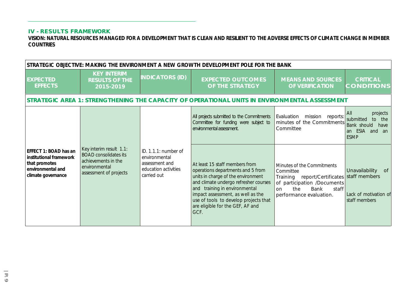### **IV - RESULTS FRAMEWORK**

**VISION: NATURAL RESOURCES MANAGED FOR A DEVELOPMENT THAT IS CLEAN AND RESILIENT TO THE ADVERSE EFFECTS OF CLIMATE CHANGE IN MEMBER COUNTRIES**

| STRATEGIC OBJECTIVE: MAKING THE ENVIRONMENT A NEW GROWTH DEVELOPMENT POLE FOR THE BANK                       |                                                                                                                           |                                                                                                |                                                                                                                                                                                                                                                                                                               |                                                                                                                                                                 |                                                                                                   |  |  |
|--------------------------------------------------------------------------------------------------------------|---------------------------------------------------------------------------------------------------------------------------|------------------------------------------------------------------------------------------------|---------------------------------------------------------------------------------------------------------------------------------------------------------------------------------------------------------------------------------------------------------------------------------------------------------------|-----------------------------------------------------------------------------------------------------------------------------------------------------------------|---------------------------------------------------------------------------------------------------|--|--|
| <b>EXPECTED</b><br><b>EFFECTS</b>                                                                            | <b>KEY INTERIM</b><br><b>RESULTS OF THE</b><br>2015-2019                                                                  | <b>INDICATORS (ID)</b>                                                                         | <b>EXPECTED OUTCOMES</b><br>OF THE STRATEGY                                                                                                                                                                                                                                                                   | <b>MEANS AND SOURCES</b><br>OF VERIFICATION                                                                                                                     | <b>CRITICAL</b><br><b>CONDITIONS</b>                                                              |  |  |
|                                                                                                              |                                                                                                                           |                                                                                                | STRATEGIC AREA 1: STRENGTHENING THE CAPACITY OF OPERATIONAL UNITS IN ENVIRONMENTAL ASSESSMENT                                                                                                                                                                                                                 |                                                                                                                                                                 |                                                                                                   |  |  |
| EFFECT 1: BOAD has an<br>institutional framework<br>that promotes<br>environmental and<br>climate governance |                                                                                                                           |                                                                                                | All projects submitted to the Commitments<br>Committee for funding were subject to<br>environmental assessment.                                                                                                                                                                                               | Evaluation mission reports:<br>minutes of the Commitments<br>Committee                                                                                          | projects<br>All<br>submitted<br>to the<br>Bank should<br>have<br>ESIA and an<br>an<br><b>ESMP</b> |  |  |
|                                                                                                              | Key interim result 1.1:<br><b>BOAD</b> consolidates its<br>achievements in the<br>environmental<br>assessment of projects | ID. 1.1.1: number of<br>environmental<br>assessment and<br>education activities<br>carried out | At least 15 staff members from<br>operations departments and 5 from<br>units in charge of the environment<br>and climate undergo refresher courses<br>and training in environmental<br>impact assessment, as well as the<br>use of tools to develop projects that<br>are eligible for the GEF, AF and<br>GCF. | Minutes of the Commitments<br>Committee<br>Training report/Certificates<br>of participation /Documents<br>the<br>Bank<br>on<br>staff<br>performance evaluation. | Unavailability<br>of<br>staff members<br>Lack of motivation of<br>staff members                   |  |  |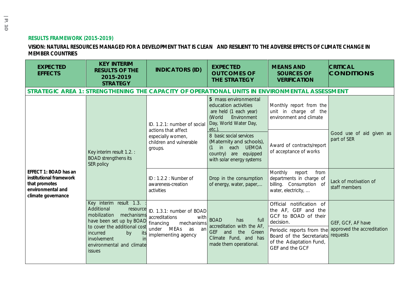### **RESULTS FRAMEWORK (2015-2019)**

### **VISION: NATURAL RESOURCES MANAGED FOR A DEVELOPMENT THAT IS CLEAN AND RESILIENT TO THE ADVERSE EFFECTS OF CLIMATE CHANGE IN MEMBER COUNTRIES**

| <b>EXPECTED</b><br><b>EFFECTS</b>                                                                            | <b>KEY INTERIM</b><br><b>RESULTS OF THE</b><br>2015-2019<br><b>STRATEGY</b>                                                                                                                                               | <b>INDICATORS (ID)</b>                                                                                                    | <b>EXPECTED</b><br><b>OUTCOMES OF</b><br><b>THE STRATEGY</b>                                                                                     | <b>MEANS AND</b><br><b>SOURCES OF</b><br><b>VERIFICATION</b>                                                                                                                                 | <b>CRITICAL</b><br><b>CONDITIONS</b>                        |
|--------------------------------------------------------------------------------------------------------------|---------------------------------------------------------------------------------------------------------------------------------------------------------------------------------------------------------------------------|---------------------------------------------------------------------------------------------------------------------------|--------------------------------------------------------------------------------------------------------------------------------------------------|----------------------------------------------------------------------------------------------------------------------------------------------------------------------------------------------|-------------------------------------------------------------|
|                                                                                                              |                                                                                                                                                                                                                           |                                                                                                                           |                                                                                                                                                  | STRATEGIC AREA 1: STRENGTHENING THE CAPACITY OF OPERATIONAL UNITS IN ENVIRONMENTAL ASSESSMENT                                                                                                |                                                             |
| EFFECT 1: BOAD has an<br>institutional framework<br>that promotes<br>environmental and<br>climate governance | Key interim result 1.2.:<br><b>BOAD</b> strengthens its<br>SER policy                                                                                                                                                     | ID. 1.2.1: number of social<br>actions that affect<br>especially women,<br>children and vulnerable<br>groups.             | 5 mass environmental<br>education activities<br>are held (1 each year)<br>(World<br>Environment<br>Day, World Water Day,<br>etc.)                | Monthly report from the<br>unit in charge of the<br>environment and climate                                                                                                                  | Good use of aid given as<br>part of SER                     |
|                                                                                                              |                                                                                                                                                                                                                           |                                                                                                                           | 8 basic social services<br>(Maternity and schools),<br>in each UEMOA<br>country) are equipped<br>with solar energy systems                       | Award of contracts/report<br>of acceptance of works                                                                                                                                          |                                                             |
|                                                                                                              |                                                                                                                                                                                                                           | ID: 1.2.2: Number of<br>awareness-creation<br>activities                                                                  | Drop in the consumption<br>of energy, water, paper,                                                                                              | Monthly<br>report<br>from<br>departments in charge of<br>billing. Consumption of<br>water, electricity,                                                                                      | Lack of motivation of<br>staff members                      |
|                                                                                                              | Key interim result 1.3.<br>Additional<br>resource<br>mobilization<br>mechanisms<br>have been set up by BOAD<br>to cover the additional cost<br>incurred<br>by<br>involvement<br>ın<br>environmental and climate<br>issues | ID. 1.3.1: number of BOAD<br>accreditations<br>with<br>financing<br>mechanisms<br>under MEAs as an<br>implementing agency | <b>BOAD</b><br>full<br>has<br>accreditation with the AF,<br><b>GEF</b><br>the<br>and<br>Green<br>Climate Fund, and has<br>made them operational. | Official notification of<br>the AF, GEF and the<br>GCF to BOAD of their<br>decision.<br>Periodic reports from the<br>Board of the Secretariats<br>of the Adaptation Fund,<br>GEF and the GCF | GEF, GCF, AF have<br>approved the accreditation<br>requests |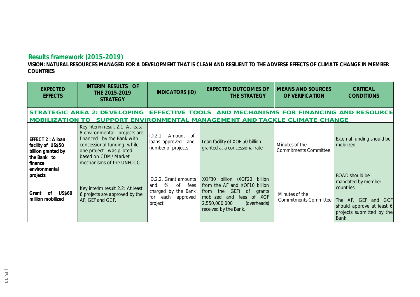# **Results framework (2015-2019)**

**VISION: NATURAL RESOURCES MANAGED FOR A DEVELOPMENT THAT IS CLEAN AND RESILIENT TO THE ADVERSE EFFECTS OF CLIMATE CHANGE IN MEMBER COUNTRIES**

| <b>EXPECTED</b><br><b>EFFECTS</b>                                                       | <b>INTERIM RESULTS OF</b><br>THE 2015-2019<br><b>STRATEGY</b>                                                                                                                                               | <b>INDICATORS (ID)</b>                                                                                        | <b>EXPECTED OUTCOMES OF</b><br>THE STRATEGY                                                                                                                                                                 | <b>MEANS AND SOURCES</b><br>OF VERIFICATION    | <b>CRITICAL</b><br><b>CONDITIONS</b>                                                                                                               |
|-----------------------------------------------------------------------------------------|-------------------------------------------------------------------------------------------------------------------------------------------------------------------------------------------------------------|---------------------------------------------------------------------------------------------------------------|-------------------------------------------------------------------------------------------------------------------------------------------------------------------------------------------------------------|------------------------------------------------|----------------------------------------------------------------------------------------------------------------------------------------------------|
| <b>MOBILIZATION</b>                                                                     |                                                                                                                                                                                                             |                                                                                                               | STRATEGIC AREA 2: DEVELOPING EFFECTIVE TOOLS AND MECHANISMS FOR FINANCING AND RESOURCE<br>SUPPORT ENVIRONMENTAL MANAGEMENT AND TACKLE CLIMATE CHANGE                                                        |                                                |                                                                                                                                                    |
| EFFECT 2 : A loan<br>facility of US\$50<br>billion granted by<br>the Bank to<br>finance | Key interim result 2.1: At least<br>8 environmental projects are<br>financed by the Bank with<br>concessional funding, while<br>one project was piloted<br>based on CDM/ Market<br>mechanisms of the UNFCCC | ID.2.1. Amount of<br>loans approved and<br>number of projects                                                 | Loan facility of XOF 50 billion<br>granted at a concessional rate                                                                                                                                           | Minutes of the<br><b>Commitments Committee</b> | External funding should be<br>mobilized                                                                                                            |
| environmental<br>projects<br><b>US\$60</b><br>$\sigma$<br>Grant<br>million mobilized    | Key interim result 2.2: At least<br>6 projects are approved by the<br>AF, GEF and GCF.                                                                                                                      | ID.2.2. Grant amounts<br>%<br>of<br>fees<br>and<br>charged by the Bank<br>for<br>each<br>approved<br>project. | billion (XOF20<br>XOF30<br>billion<br>from the AF and XOF10 billion<br>GEF)<br>the<br>$\circ$<br>from<br>grants<br>of XOF<br>mobilized and<br>fees<br>2,550,000,000<br>(overheads)<br>received by the Bank. | Minutes of the<br><b>Commitments Committee</b> | <b>BOAD</b> should be<br>mandated by member<br>countries<br>The AF, GEF and GCF<br>should approve at least 6<br>projects submitted by the<br>Bank. |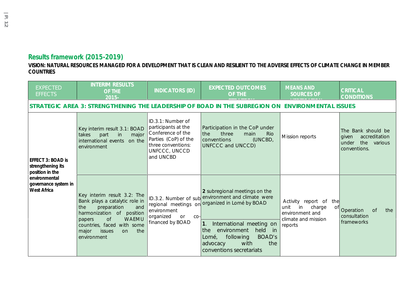# **Results framework (2015-2019)**

**VISION: NATURAL RESOURCES MANAGED FOR A DEVELOPMENT THAT IS CLEAN AND RESILIENT TO THE ADVERSE EFFECTS OF CLIMATE CHANGE IN MEMBER COUNTRIES**

| <b>EXPECTED</b><br><b>EFFECTS</b>                                                                                 | <b>INTERIM RESULTS</b><br>OF THE<br>$2015 -$                                                                                                                                                                                                   | <b>INDICATORS (ID)</b>                                                                                                                    | <b>EXPECTED OUTCOMES</b><br>OF THE                                                                                                                                                                                                                                                                           | <b>MEANS AND</b><br><b>SOURCES OF</b>                                                                        | <b>CRITICAL</b><br><b>CONDITIONS</b>                                                 |  |  |  |  |
|-------------------------------------------------------------------------------------------------------------------|------------------------------------------------------------------------------------------------------------------------------------------------------------------------------------------------------------------------------------------------|-------------------------------------------------------------------------------------------------------------------------------------------|--------------------------------------------------------------------------------------------------------------------------------------------------------------------------------------------------------------------------------------------------------------------------------------------------------------|--------------------------------------------------------------------------------------------------------------|--------------------------------------------------------------------------------------|--|--|--|--|
|                                                                                                                   | STRATEGIC AREA 3: STRENGTHENING THE LEADERSHIP OF BOAD IN THE SUBREGION ON ENVIRONMENTAL ISSUES                                                                                                                                                |                                                                                                                                           |                                                                                                                                                                                                                                                                                                              |                                                                                                              |                                                                                      |  |  |  |  |
| EFFECT 3: BOAD is<br>strengthening its<br>position in the<br>environmental<br>governance system in<br>West Africa | Key interim result 3.1: BOAD<br>takes<br>part<br>in<br>major<br>international events<br>on the<br>environment                                                                                                                                  | ID.3.1: Number of<br>participants at the<br>Conference of the<br>Parties (CoP) of the<br>three conventions:<br>UNFCCC, UNCCD<br>and UNCBD | Participation in the CoP under<br>the<br>three<br>main<br>Rio<br>(UNCBD,<br>conventions<br>UNFCCC and UNCCD)                                                                                                                                                                                                 | Mission reports                                                                                              | The Bank should be<br>accreditation<br>given<br>under<br>the various<br>conventions. |  |  |  |  |
|                                                                                                                   | Key interim result 3.2: The<br>Bank plays a catalytic role in<br>preparation<br>and<br>the<br>harmonization of<br>position<br>of<br><b>WAEMU</b><br>papers<br>countries, faced with some<br>the<br>major<br><i>issues</i><br>on<br>environment | environment<br>organized<br>or<br>$CO-$<br>financed by BOAD                                                                               | 2 subregional meetings on the<br>ID.3.2. Number of sub environment and climate were<br>regional meetings on organized in Lome by BOAD<br>International meeting on<br>1.<br>held<br>environment<br>in in<br>the<br><b>BOAD's</b><br>following<br>Lomé,<br>with<br>the<br>advocacy<br>conventions secretariats | Activity report of<br>the<br>charge<br>unit<br>in<br>0f<br>environment and<br>climate and mission<br>reports | Operation<br><b>of</b><br>the<br>consultation<br>frameworks                          |  |  |  |  |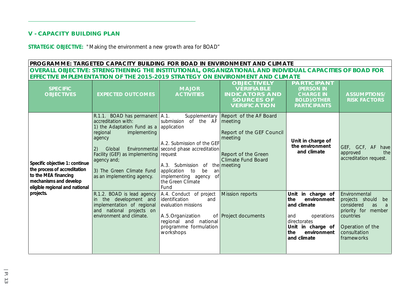### **V - CAPACITY BUILDING PLAN**

**STRATEGIC OBJECTIVE:** "Making the environment a new growth area for BOAD"

**PROGRAMME: TARGETED CAPACITY BUILDING FOR BOAD IN ENVIRONMENT AND CLIMATE OVERALL OBJECTIVE: STRENGTHENING THE INSTITUTIONAL, ORGANIZATIONAL AND INDIVIDUAL CAPACITIES OF BOAD FOR EFFECTIVE IMPLEMENTATION OF THE 2015-2019 STRATEGY ON ENVIRONMENT AND CLIMATE**

| <b>SPECIFIC</b><br><b>OBJECTIVES</b>                                                                                                                            | <b>EXPECTED OUTCOMES</b>                                                                                                                                                                                                                                                   | <b>MAJOR</b><br><b>ACTIVITIES</b>                                                                                                                                                                                                                   | <b>OBJECTIVELY</b><br><b>VERIFIABLE</b><br><b>INDICATORS AND</b><br><b>SOURCES OF</b><br><b>VERIFICATION</b>                  | <b>PARTICIPANT</b><br>(PERSON IN<br><b>CHARGE IN</b><br><b>BOLD)/OTHER</b><br><b>PARTICIPANTS</b>                                                     | <b>ASSUMPTIONS/</b><br><b>RISK FACTORS</b>                                                                                                               |
|-----------------------------------------------------------------------------------------------------------------------------------------------------------------|----------------------------------------------------------------------------------------------------------------------------------------------------------------------------------------------------------------------------------------------------------------------------|-----------------------------------------------------------------------------------------------------------------------------------------------------------------------------------------------------------------------------------------------------|-------------------------------------------------------------------------------------------------------------------------------|-------------------------------------------------------------------------------------------------------------------------------------------------------|----------------------------------------------------------------------------------------------------------------------------------------------------------|
| Specific objective 1: continue<br>the process of accreditation<br>to the MEA financing<br>mechanisms and develop<br>eligible regional and national<br>projects. | R.1.1. BOAD has permanent A.1.<br>accreditation with:<br>1) the Adaptation Fund as a application<br>implementing<br>regional<br>agency<br>2)<br>Global<br>Facility (GEF) as implementing request<br>agency and;<br>3) The Green Climate Fund<br>as an implementing agency. | Supplementary<br>submission<br>of the AF<br>A.2. Submission of the GEF<br>Environmental second phase accreditation<br>A.3. Submission of the meeting<br>application to<br>be<br>an<br>implementing agency<br>$\circ$ f<br>the Green Climate<br>Fund | Report of the AF Board<br>meeting<br>Report of the GEF Council<br>meeting<br>Report of the Green<br><b>Climate Fund Board</b> | Unit in charge of<br>the environment<br>and climate                                                                                                   | GEF, GCF, AF<br>have<br>approved<br>the<br>accreditation request.                                                                                        |
|                                                                                                                                                                 | R.1.2. BOAD is lead agency<br>the development and<br>implementation of regional<br>and national projects on<br>environment and climate.                                                                                                                                    | A.4. Conduct of project<br>identification<br>and<br>evaluation missions<br>A.5.Organization<br>regional and national<br>programme formulation<br>workshops                                                                                          | <b>Mission reports</b><br>of Project documents                                                                                | Unit in charge of<br>the<br>environment<br>and climate<br>and<br>operations<br>directorates<br>Unit in charge of<br>the<br>environment<br>and climate | Environmental<br>projects should<br>be<br>considered<br>as<br>a<br>priority for<br>member<br>countries<br>Operation of the<br>consultation<br>frameworks |